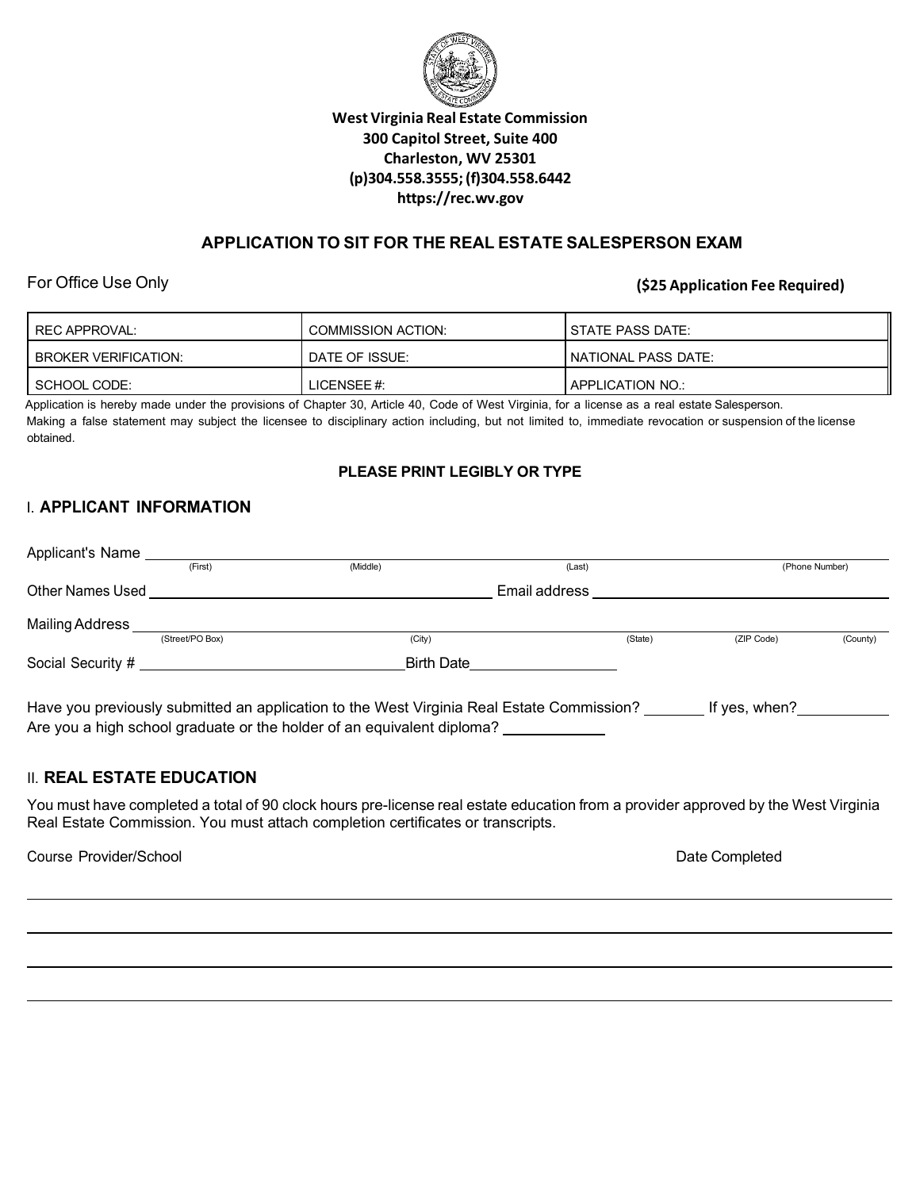

## **West Virginia Real Estate Commission 300 Capitol Street, Suite 400 Charleston, WV 25301 (p)304.558.3555;(f)304.558.6442 https://rec.wv.gov**

## **APPLICATION TO SIT FOR THE REAL ESTATE SALESPERSON EXAM**

For Office Use Only **(\$25 Application Fee Required)**

| REC APPROVAL:               | <b>COMMISSION ACTION:</b> | <b>I STATE PASS DATE:</b>   |
|-----------------------------|---------------------------|-----------------------------|
| <b>BROKER VERIFICATION:</b> | <b>I DATE OF ISSUE:</b>   | <b>INATIONAL PASS DATE:</b> |
| SCHOOL CODE:                | LICENSEE #:               | APPLICATION NO.:            |

Application is hereby made under the provisions of Chapter 30, Article 40, Code of West Virginia, for a license as a real estate Salesperson. Making a false statement may subject the licensee to disciplinary action including, but not limited to, immediate revocation or suspension of the license obtained.

### **PLEASE PRINT LEGIBLY OR TYPE**

# I. **APPLICANT INFORMATION**

| Applicant's Name        |                 |                    |                   |                |            |          |
|-------------------------|-----------------|--------------------|-------------------|----------------|------------|----------|
|                         | (First)         | (Middle)<br>(Last) |                   | (Phone Number) |            |          |
| <b>Other Names Used</b> |                 |                    | Email address     |                |            |          |
| Mailing Address _       |                 |                    |                   |                |            |          |
|                         | (Street/PO Box) | (City)             |                   | (State)        | (ZIP Code) | (County) |
|                         |                 |                    | <b>Birth Date</b> |                |            |          |
|                         |                 |                    |                   |                |            |          |

Have you previously submitted an application to the West Virginia Real Estate Commission? \_\_\_\_\_\_\_ If yes, when?\_\_\_\_\_\_\_\_\_ Are you a high school graduate or the holder of an equivalent diploma? \_\_\_\_\_\_\_\_\_

## II. **REAL ESTATE EDUCATION**

You must have completed a total of 90 clock hours pre-license real estate education from a provider approved by the West Virginia Real Estate Commission. You must attach completion certificates or transcripts.

Course Provider/School Date Completed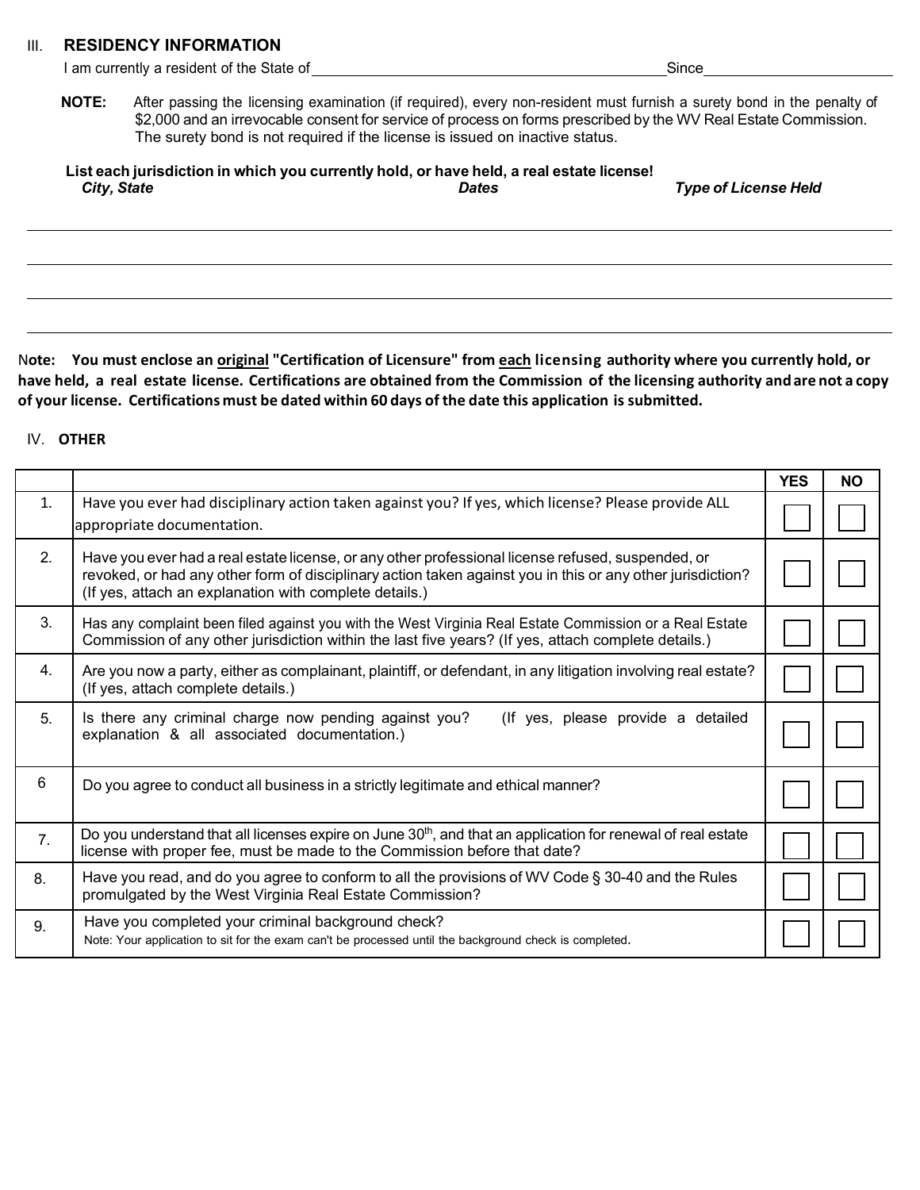#### III. **RESIDENCY INFORMATION**

|              | I am currently a resident of the State of                                    | Since                                                                                                                                                                                                                                     |  |
|--------------|------------------------------------------------------------------------------|-------------------------------------------------------------------------------------------------------------------------------------------------------------------------------------------------------------------------------------------|--|
| <b>NOTE:</b> |                                                                              | After passing the licensing examination (if required), every non-resident must furnish a surety bond in the penalty of<br>\$2,000 and an irrevocable consent for service of process on forms prescribed by the WV Real Estate Commission. |  |
|              | The surety bond is not required if the license is issued on inactive status. |                                                                                                                                                                                                                                           |  |

**List each jurisdiction in which you currently hold, or have held, a real estate license!**

*City, State Dates Type of License Held*

N**ote: You must enclose an original "Certification of Licensure" from each licensing authority where you currently hold, or**  have held, a real estate license. Certifications are obtained from the Commission of the licensing authority and are not a copy **of your license. Certifications must be dated within 60 days of the date this application is submitted.**

#### IV. **OTHER**

|    |                                                                                                                                                                                                                                                                           | <b>YES</b> | <b>NO</b> |
|----|---------------------------------------------------------------------------------------------------------------------------------------------------------------------------------------------------------------------------------------------------------------------------|------------|-----------|
| 1. | Have you ever had disciplinary action taken against you? If yes, which license? Please provide ALL<br>appropriate documentation.                                                                                                                                          |            |           |
| 2. | Have you ever had a real estate license, or any other professional license refused, suspended, or<br>revoked, or had any other form of disciplinary action taken against you in this or any other jurisdiction?<br>(If yes, attach an explanation with complete details.) |            |           |
| 3. | Has any complaint been filed against you with the West Virginia Real Estate Commission or a Real Estate<br>Commission of any other jurisdiction within the last five years? (If yes, attach complete details.)                                                            |            |           |
| 4. | Are you now a party, either as complainant, plaintiff, or defendant, in any litigation involving real estate?<br>(If yes, attach complete details.)                                                                                                                       |            |           |
| 5. | Is there any criminal charge now pending against you?<br>(If yes, please provide a detailed<br>explanation & all associated documentation.)                                                                                                                               |            |           |
| 6  | Do you agree to conduct all business in a strictly legitimate and ethical manner?                                                                                                                                                                                         |            |           |
| 7. | Do you understand that all licenses expire on June 30 <sup>th</sup> , and that an application for renewal of real estate<br>license with proper fee, must be made to the Commission before that date?                                                                     |            |           |
| 8. | Have you read, and do you agree to conform to all the provisions of WV Code $\S 30-40$ and the Rules<br>promulgated by the West Virginia Real Estate Commission?                                                                                                          |            |           |
| 9. | Have you completed your criminal background check?<br>Note: Your application to sit for the exam can't be processed until the background check is completed.                                                                                                              |            |           |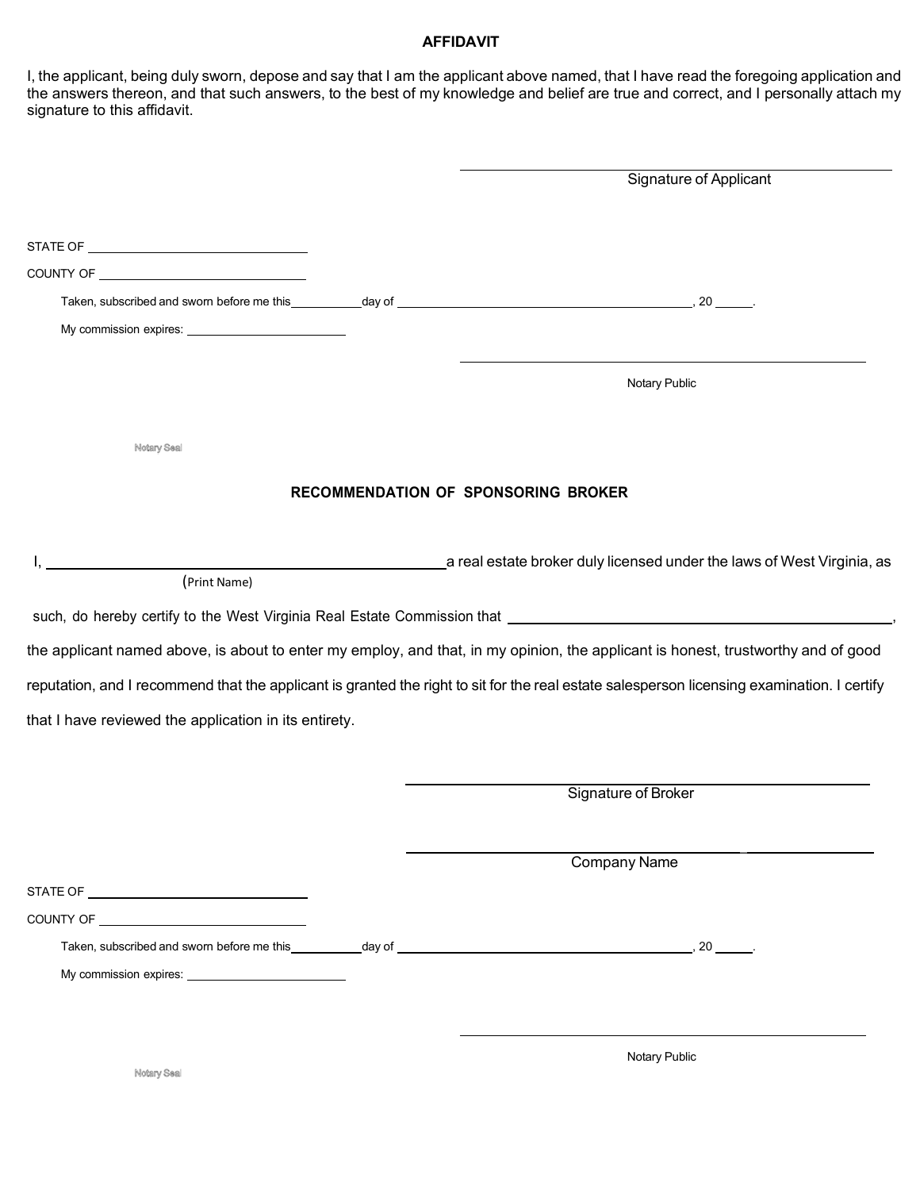### **AFFIDAVIT**

I, the applicant, being duly sworn, depose and say that I am the applicant above named, that I have read the foregoing application and the answers thereon, and that such answers, to the best of my knowledge and belief are true and correct, and I personally attach my signature to this affidavit.

|                                                       | Signature of Applicant                                                                                                                                                                                                         |
|-------------------------------------------------------|--------------------------------------------------------------------------------------------------------------------------------------------------------------------------------------------------------------------------------|
|                                                       |                                                                                                                                                                                                                                |
|                                                       |                                                                                                                                                                                                                                |
|                                                       |                                                                                                                                                                                                                                |
|                                                       |                                                                                                                                                                                                                                |
|                                                       |                                                                                                                                                                                                                                |
|                                                       | Notary Public                                                                                                                                                                                                                  |
| Notary Seal                                           |                                                                                                                                                                                                                                |
|                                                       | RECOMMENDATION OF SPONSORING BROKER                                                                                                                                                                                            |
|                                                       | a real estate broker duly licensed under the laws of West Virginia, as                                                                                                                                                         |
| (Print Name)                                          |                                                                                                                                                                                                                                |
|                                                       | such, do hereby certify to the West Virginia Real Estate Commission that [1942] [1942] [1942] [1943] [1943] [1944] [1944] [1944] [1944] [1944] [1944] [1944] [1944] [1944] [1944] [1944] [1944] [1944] [1944] [1944] [1944] [1 |
|                                                       | the applicant named above, is about to enter my employ, and that, in my opinion, the applicant is honest, trustworthy and of good                                                                                              |
|                                                       | reputation, and I recommend that the applicant is granted the right to sit for the real estate salesperson licensing examination. I certify                                                                                    |
| that I have reviewed the application in its entirety. |                                                                                                                                                                                                                                |
|                                                       |                                                                                                                                                                                                                                |
|                                                       | Signature of Broker                                                                                                                                                                                                            |
|                                                       | <b>Company Name</b>                                                                                                                                                                                                            |
|                                                       |                                                                                                                                                                                                                                |
|                                                       |                                                                                                                                                                                                                                |
|                                                       |                                                                                                                                                                                                                                |
|                                                       |                                                                                                                                                                                                                                |
|                                                       |                                                                                                                                                                                                                                |
|                                                       | Notary Public                                                                                                                                                                                                                  |
| Notary Seal                                           |                                                                                                                                                                                                                                |